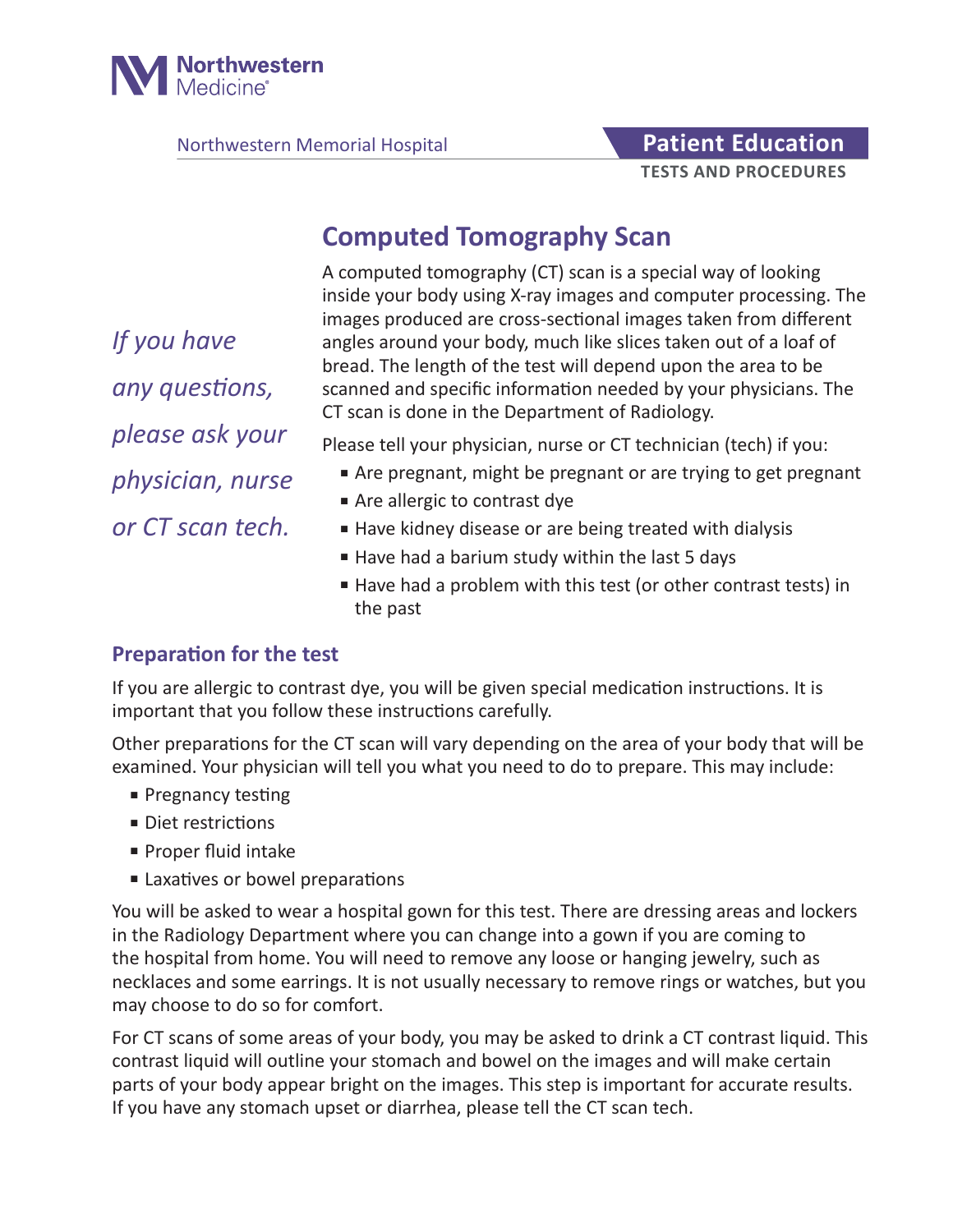

Northwestern Memorial Hospital **Patient Education** 

# **TESTS AND PROCEDURES**

## **Computed Tomography Scan**

A computed tomography (CT) scan is a special way of looking inside your body using X-ray images and computer processing. The images produced are cross-sectional images taken from different angles around your body, much like slices taken out of a loaf of bread. The length of the test will depend upon the area to be scanned and specific information needed by your physicians. The CT scan is done in the Department of Radiology.

*If you have any questions, please ask your physician, nurse or CT scan tech.*

Please tell your physician, nurse or CT technician (tech) if you:

- Are pregnant, might be pregnant or are trying to get pregnant
- Are allergic to contrast dye
- Have kidney disease or are being treated with dialysis
- Have had a barium study within the last 5 days
- Have had a problem with this test (or other contrast tests) in the past

#### **Preparation for the test**

If you are allergic to contrast dye, you will be given special medication instructions. It is important that you follow these instructions carefully.

Other preparations for the CT scan will vary depending on the area of your body that will be examined. Your physician will tell you what you need to do to prepare. This may include:

- Pregnancy testing
- Diet restrictions
- Proper fluid intake
- Laxatives or bowel preparations

You will be asked to wear a hospital gown for this test. There are dressing areas and lockers in the Radiology Department where you can change into a gown if you are coming to the hospital from home. You will need to remove any loose or hanging jewelry, such as necklaces and some earrings. It is not usually necessary to remove rings or watches, but you may choose to do so for comfort.

For CT scans of some areas of your body, you may be asked to drink a CT contrast liquid. This contrast liquid will outline your stomach and bowel on the images and will make certain parts of your body appear bright on the images. This step is important for accurate results. If you have any stomach upset or diarrhea, please tell the CT scan tech.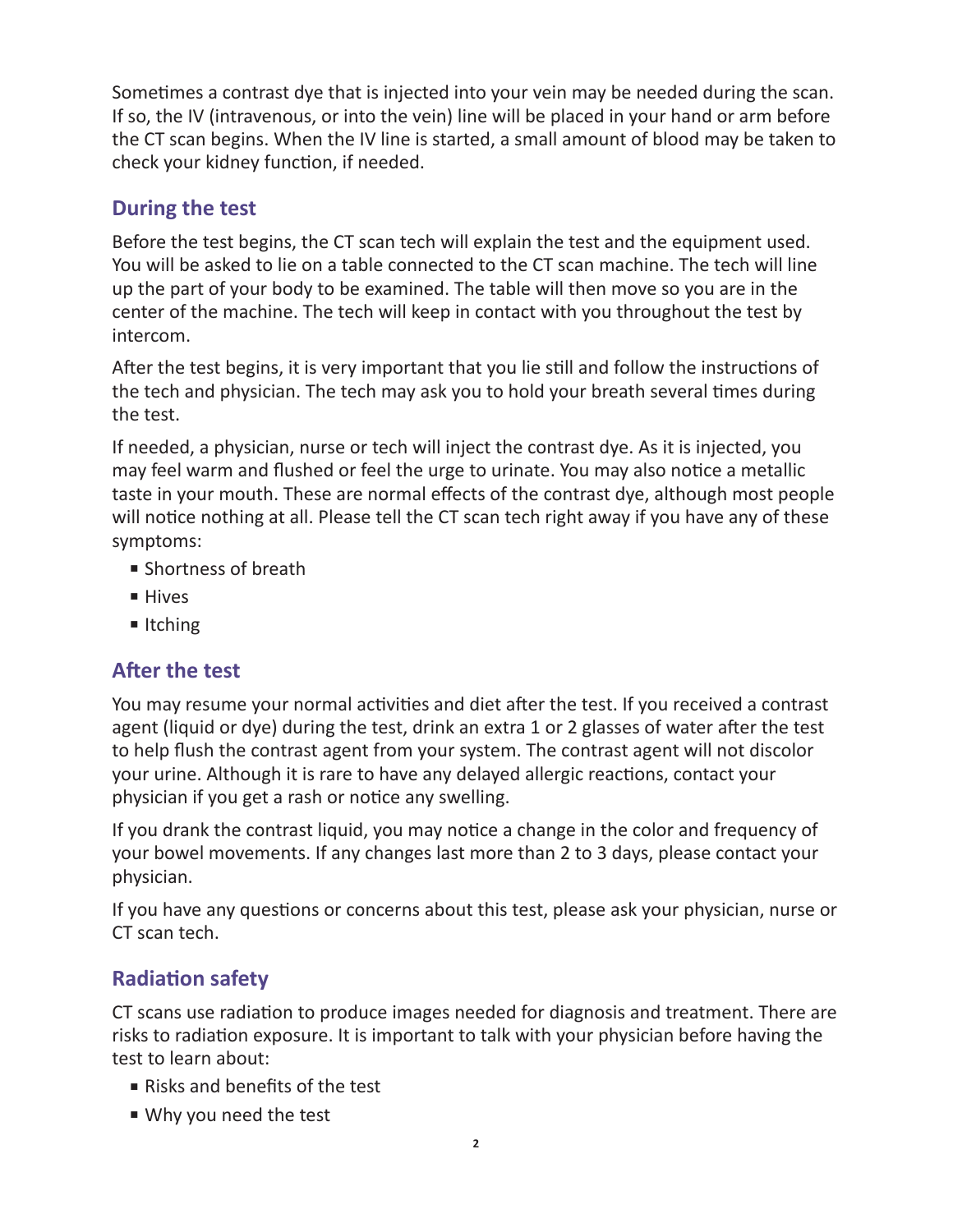Sometimes a contrast dye that is injected into your vein may be needed during the scan. If so, the IV (intravenous, or into the vein) line will be placed in your hand or arm before the CT scan begins. When the IV line is started, a small amount of blood may be taken to check your kidney function, if needed.

#### **During the test**

Before the test begins, the CT scan tech will explain the test and the equipment used. You will be asked to lie on a table connected to the CT scan machine. The tech will line up the part of your body to be examined. The table will then move so you are in the center of the machine. The tech will keep in contact with you throughout the test by intercom.

After the test begins, it is very important that you lie still and follow the instructions of the tech and physician. The tech may ask you to hold your breath several times during the test.

If needed, a physician, nurse or tech will inject the contrast dye. As it is injected, you may feel warm and flushed or feel the urge to urinate. You may also notice a metallic taste in your mouth. These are normal effects of the contrast dye, although most people will notice nothing at all. Please tell the CT scan tech right away if you have any of these symptoms:

- Shortness of breath
- Hives
- Itching

#### **After the test**

You may resume your normal activities and diet after the test. If you received a contrast agent (liquid or dye) during the test, drink an extra 1 or 2 glasses of water after the test to help flush the contrast agent from your system. The contrast agent will not discolor your urine. Although it is rare to have any delayed allergic reactions, contact your physician if you get a rash or notice any swelling.

If you drank the contrast liquid, you may notice a change in the color and frequency of your bowel movements. If any changes last more than 2 to 3 days, please contact your physician.

If you have any questions or concerns about this test, please ask your physician, nurse or CT scan tech.

### **Radiation safety**

CT scans use radiation to produce images needed for diagnosis and treatment. There are risks to radiation exposure. It is important to talk with your physician before having the test to learn about:

- Risks and benefits of the test
- Why you need the test